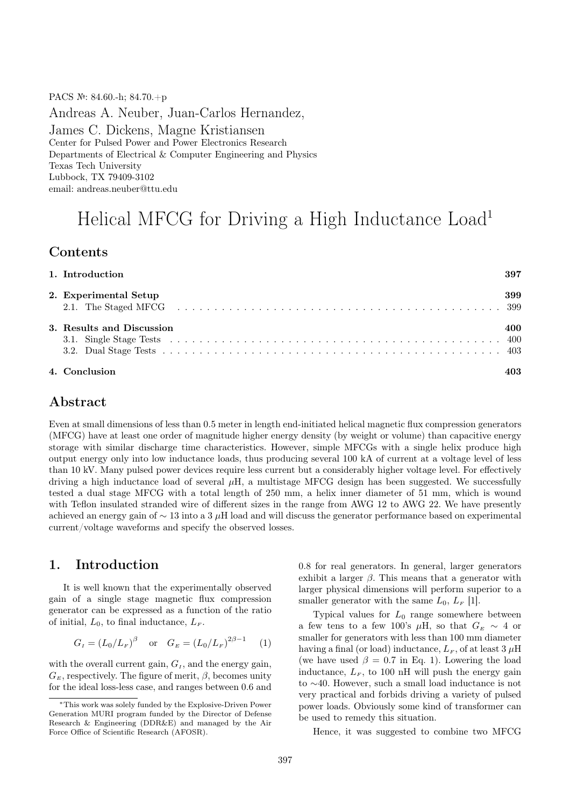PACS №: 84.60.-h; 84.70.+p Andreas A. Neuber, Juan-Carlos Hernandez, James C. Dickens, Magne Kristiansen Center for Pulsed Power and Power Electronics Research Departments of Electrical & Computer Engineering and Physics Texas Tech University Lubbock, TX 79409-3102 email: andreas.neuber@ttu.edu

# Helical MFCG for Driving a High Inductance Load<sup>1</sup>

#### Contents

| 1. Introduction           | 397 |
|---------------------------|-----|
| 2. Experimental Setup     | 399 |
| 3. Results and Discussion | 400 |
| 4. Conclusion             |     |

#### Abstract

Even at small dimensions of less than 0.5 meter in length end-initiated helical magnetic flux compression generators (MFCG) have at least one order of magnitude higher energy density (by weight or volume) than capacitive energy storage with similar discharge time characteristics. However, simple MFCGs with a single helix produce high output energy only into low inductance loads, thus producing several 100 kA of current at a voltage level of less than 10 kV. Many pulsed power devices require less current but a considerably higher voltage level. For effectively driving a high inductance load of several  $\mu$ H, a multistage MFCG design has been suggested. We successfully tested a dual stage MFCG with a total length of 250 mm, a helix inner diameter of 51 mm, which is wound with Teflon insulated stranded wire of different sizes in the range from AWG 12 to AWG 22. We have presently achieved an energy gain of  $\sim$  13 into a 3 µH load and will discuss the generator performance based on experimental current/voltage waveforms and specify the observed losses.

## 1. Introduction

It is well known that the experimentally observed gain of a single stage magnetic flux compression generator can be expressed as a function of the ratio of initial,  $L_0$ , to final inductance,  $L_F$ .

$$
G_I = (L_0/L_F)^{\beta}
$$
 or  $G_E = (L_0/L_F)^{2\beta - 1}$  (1)

with the overall current gain,  $G<sub>I</sub>$ , and the energy gain,  $G_E$ , respectively. The figure of merit,  $\beta$ , becomes unity for the ideal loss-less case, and ranges between 0.6 and 0.8 for real generators. In general, larger generators exhibit a larger  $\beta$ . This means that a generator with larger physical dimensions will perform superior to a smaller generator with the same  $L_0$ ,  $L_F$  [1].

Typical values for  $L_0$  range somewhere between a few tens to a few 100's  $\mu$ H, so that  $G_E \sim 4$  or smaller for generators with less than 100 mm diameter having a final (or load) inductance,  $L_F$ , of at least 3  $\mu$ H (we have used  $\beta = 0.7$  in Eq. 1). Lowering the load inductance,  $L_F$ , to 100 nH will push the energy gain to ∼40. However, such a small load inductance is not very practical and forbids driving a variety of pulsed power loads. Obviously some kind of transformer can be used to remedy this situation.

Hence, it was suggested to combine two MFCG

<sup>∗</sup>This work was solely funded by the Explosive-Driven Power Generation MURI program funded by the Director of Defense Research & Engineering (DDR&E) and managed by the Air Force Office of Scientific Research (AFOSR).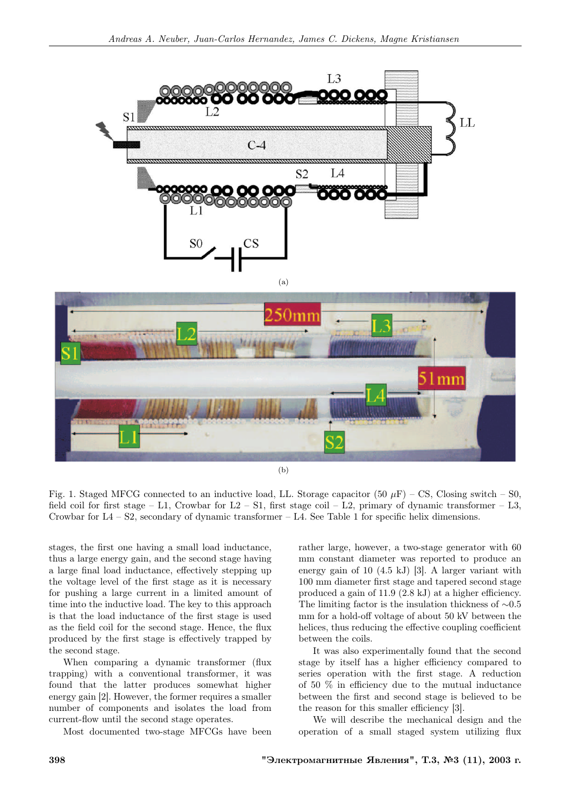





Fig. 1. Staged MFCG connected to an inductive load, LL. Storage capacitor (50  $\mu$ F) – CS, Closing switch – S0, field coil for first stage – L1, Crowbar for  $L2 - S1$ , first stage coil – L2, primary of dynamic transformer – L3, Crowbar for  $L4 - S2$ , secondary of dynamic transformer  $- L4$ . See Table 1 for specific helix dimensions.

stages, the first one having a small load inductance, thus a large energy gain, and the second stage having a large final load inductance, effectively stepping up the voltage level of the first stage as it is necessary for pushing a large current in a limited amount of time into the inductive load. The key to this approach is that the load inductance of the first stage is used as the field coil for the second stage. Hence, the flux produced by the first stage is effectively trapped by the second stage.

When comparing a dynamic transformer (flux trapping) with a conventional transformer, it was found that the latter produces somewhat higher energy gain [2]. However, the former requires a smaller number of components and isolates the load from current-flow until the second stage operates.

Most documented two-stage MFCGs have been

rather large, however, a two-stage generator with 60 mm constant diameter was reported to produce an energy gain of 10 (4.5 kJ) [3]. A larger variant with 100 mm diameter first stage and tapered second stage produced a gain of 11.9 (2.8 kJ) at a higher efficiency. The limiting factor is the insulation thickness of ∼0.5 mm for a hold-off voltage of about 50 kV between the helices, thus reducing the effective coupling coefficient between the coils.

It was also experimentally found that the second stage by itself has a higher efficiency compared to series operation with the first stage. A reduction of 50 % in efficiency due to the mutual inductance between the first and second stage is believed to be the reason for this smaller efficiency [3].

We will describe the mechanical design and the operation of a small staged system utilizing flux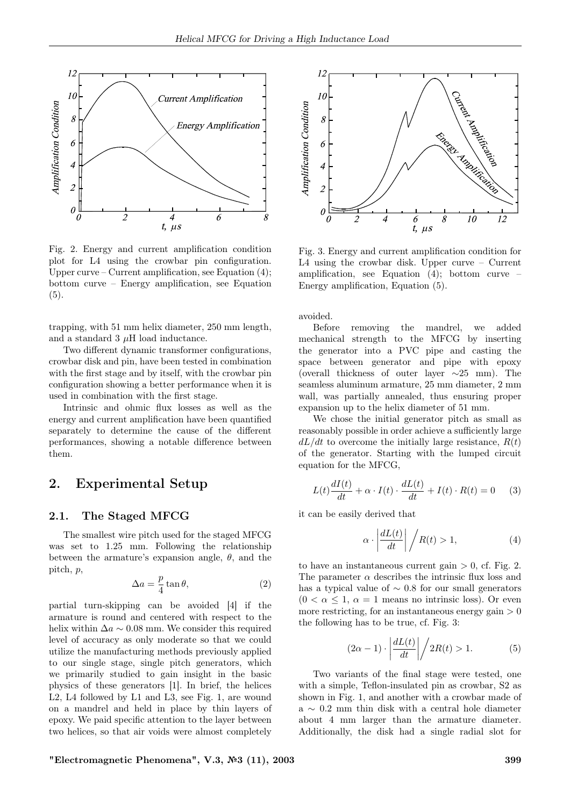

Fig. 2. Energy and current amplification condition plot for L4 using the crowbar pin configuration. Upper curve – Current amplification, see Equation  $(4)$ ; bottom curve – Energy amplification, see Equation (5).

trapping, with 51 mm helix diameter, 250 mm length, and a standard  $3 \mu$ H load inductance.

Two different dynamic transformer configurations, crowbar disk and pin, have been tested in combination with the first stage and by itself, with the crowbar pin configuration showing a better performance when it is used in combination with the first stage.

Intrinsic and ohmic flux losses as well as the energy and current amplification have been quantified separately to determine the cause of the different performances, showing a notable difference between them.

## 2. Experimental Setup

#### 2.1. The Staged MFCG

The smallest wire pitch used for the staged MFCG was set to 1.25 mm. Following the relationship between the armature's expansion angle,  $\theta$ , and the pitch, p,

$$
\Delta a = \frac{p}{4} \tan \theta,\tag{2}
$$

partial turn-skipping can be avoided [4] if the armature is round and centered with respect to the helix within  $\Delta a \sim 0.08$  mm. We consider this required level of accuracy as only moderate so that we could utilize the manufacturing methods previously applied to our single stage, single pitch generators, which we primarily studied to gain insight in the basic physics of these generators [1]. In brief, the helices L2, L4 followed by L1 and L3, see Fig. 1, are wound on a mandrel and held in place by thin layers of epoxy. We paid specific attention to the layer between two helices, so that air voids were almost completely



Fig. 3. Energy and current amplification condition for L4 using the crowbar disk. Upper curve – Current amplification, see Equation (4); bottom curve – Energy amplification, Equation (5).

avoided.

Before removing the mandrel, we added mechanical strength to the MFCG by inserting the generator into a PVC pipe and casting the space between generator and pipe with epoxy (overall thickness of outer layer  $\sim$ 25 mm). The seamless aluminum armature, 25 mm diameter, 2 mm wall, was partially annealed, thus ensuring proper expansion up to the helix diameter of 51 mm.

We chose the initial generator pitch as small as reasonably possible in order achieve a sufficiently large  $dL/dt$  to overcome the initially large resistance,  $R(t)$ of the generator. Starting with the lumped circuit equation for the MFCG,

$$
L(t)\frac{dI(t)}{dt} + \alpha \cdot I(t) \cdot \frac{dL(t)}{dt} + I(t) \cdot R(t) = 0 \quad (3)
$$

it can be easily derived that

$$
\alpha \cdot \left| \frac{dL(t)}{dt} \right| / R(t) > 1,\tag{4}
$$

to have an instantaneous current gain  $> 0$ , cf. Fig. 2. The parameter  $\alpha$  describes the intrinsic flux loss and has a typical value of  $\sim$  0.8 for our small generators  $(0 < \alpha \leq 1, \alpha = 1$  means no intrinsic loss). Or even more restricting, for an instantaneous energy gain  $> 0$ the following has to be true, cf. Fig. 3:

$$
(2\alpha - 1) \cdot \left| \frac{dL(t)}{dt} \right| \bigg/ 2R(t) > 1. \tag{5}
$$

Two variants of the final stage were tested, one with a simple, Teflon-insulated pin as crowbar, S2 as shown in Fig. 1, and another with a crowbar made of a ∼ 0.2 mm thin disk with a central hole diameter about 4 mm larger than the armature diameter. Additionally, the disk had a single radial slot for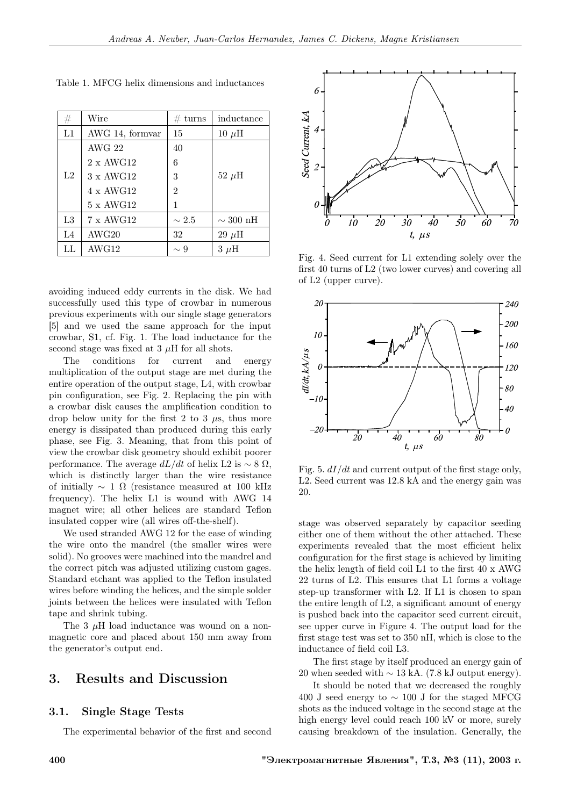| #  | Wire             | turns<br>#     | inductance           |
|----|------------------|----------------|----------------------|
| L1 | AWG 14, formvar  | 15             | $10 \mu H$           |
|    | $\rm AWG$ 22     | 40             |                      |
|    | $2 \times AWG12$ | 6              |                      |
| L2 | $3 \times AWG12$ | 3              | $52~\mu\text{H}$     |
|    | $4 \times AWG12$ | $\overline{2}$ |                      |
|    | $5 \times$ AWG12 | 1              |                      |
| L3 | 7 x AWG12        | $\sim 2.5$     | $\sim 300~\text{nH}$ |
| L4 | AWG20            | 32             | $29~\mu$ H           |
| LL | AWG12            | $\sim 9$       | $3 \mu H$            |

Table 1. MFCG helix dimensions and inductances

avoiding induced eddy currents in the disk. We had successfully used this type of crowbar in numerous previous experiments with our single stage generators [5] and we used the same approach for the input crowbar, S1, cf. Fig. 1. The load inductance for the second stage was fixed at  $3 \mu$ H for all shots.

The conditions for current and energy multiplication of the output stage are met during the entire operation of the output stage, L4, with crowbar pin configuration, see Fig. 2. Replacing the pin with a crowbar disk causes the amplification condition to drop below unity for the first 2 to 3  $\mu$ s, thus more energy is dissipated than produced during this early phase, see Fig. 3. Meaning, that from this point of view the crowbar disk geometry should exhibit poorer performance. The average  $dL/dt$  of helix L2 is  $\sim$  8  $\Omega$ , which is distinctly larger than the wire resistance of initially  $\sim 1 \Omega$  (resistance measured at 100 kHz frequency). The helix L1 is wound with AWG 14 magnet wire; all other helices are standard Teflon insulated copper wire (all wires off-the-shelf).

We used stranded AWG 12 for the ease of winding the wire onto the mandrel (the smaller wires were solid). No grooves were machined into the mandrel and the correct pitch was adjusted utilizing custom gages. Standard etchant was applied to the Teflon insulated wires before winding the helices, and the simple solder joints between the helices were insulated with Teflon tape and shrink tubing.

The 3  $\mu$ H load inductance was wound on a nonmagnetic core and placed about 150 mm away from the generator's output end.

## 3. Results and Discussion

#### 3.1. Single Stage Tests

The experimental behavior of the first and second



Fig. 4. Seed current for L1 extending solely over the first 40 turns of L2 (two lower curves) and covering all of L2 (upper curve).



Fig. 5.  $dI/dt$  and current output of the first stage only, L2. Seed current was 12.8 kA and the energy gain was 20.

stage was observed separately by capacitor seeding either one of them without the other attached. These experiments revealed that the most efficient helix configuration for the first stage is achieved by limiting the helix length of field coil L1 to the first 40 x AWG 22 turns of L2. This ensures that L1 forms a voltage step-up transformer with L2. If L1 is chosen to span the entire length of L2, a significant amount of energy is pushed back into the capacitor seed current circuit, see upper curve in Figure 4. The output load for the first stage test was set to 350 nH, which is close to the inductance of field coil L3.

The first stage by itself produced an energy gain of 20 when seeded with  $\sim$  13 kA. (7.8 kJ output energy).

It should be noted that we decreased the roughly 400 J seed energy to  $\sim$  100 J for the staged MFCG shots as the induced voltage in the second stage at the high energy level could reach 100 kV or more, surely causing breakdown of the insulation. Generally, the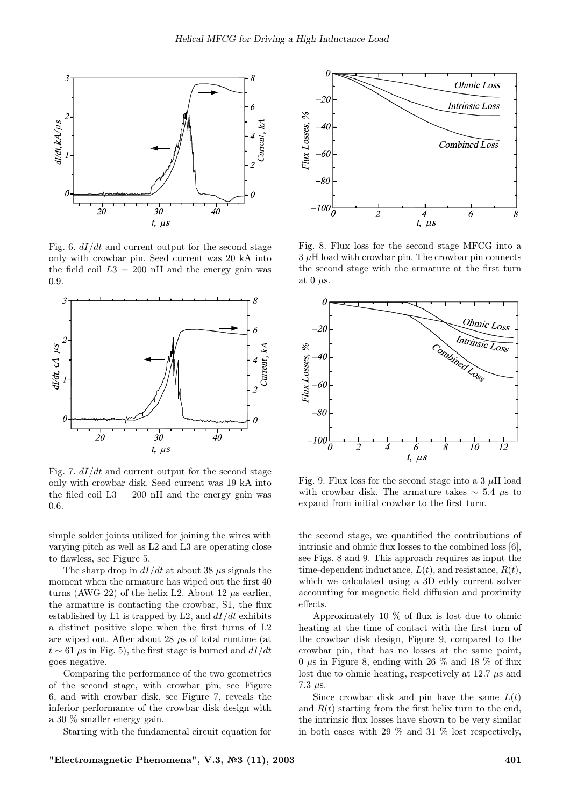

Fig. 6.  $dI/dt$  and current output for the second stage only with crowbar pin. Seed current was 20 kA into the field coil  $L3 = 200$  nH and the energy gain was 0.9.



Fig. 7.  $dI/dt$  and current output for the second stage only with crowbar disk. Seed current was 19 kA into the filed coil  $L3 = 200$  nH and the energy gain was 0.6.

simple solder joints utilized for joining the wires with varying pitch as well as L2 and L3 are operating close to flawless, see Figure 5.

The sharp drop in  $dI/dt$  at about 38  $\mu$ s signals the moment when the armature has wiped out the first 40 turns (AWG 22) of the helix L2. About 12  $\mu$ s earlier, the armature is contacting the crowbar, S1, the flux established by L1 is trapped by L2, and  $dI/dt$  exhibits a distinct positive slope when the first turns of L2 are wiped out. After about 28  $\mu$ s of total runtime (at  $t \sim 61 \,\mu s$  in Fig. 5), the first stage is burned and  $dI/dt$ goes negative.

Comparing the performance of the two geometries of the second stage, with crowbar pin, see Figure 6, and with crowbar disk, see Figure 7, reveals the inferior performance of the crowbar disk design with a 30 % smaller energy gain.

Starting with the fundamental circuit equation for



Fig. 8. Flux loss for the second stage MFCG into a  $3 \mu$ H load with crowbar pin. The crowbar pin connects the second stage with the armature at the first turn at 0  $\mu$ s.



Fig. 9. Flux loss for the second stage into a 3  $\mu$ H load with crowbar disk. The armature takes  $\sim$  5.4 µs to expand from initial crowbar to the first turn.

the second stage, we quantified the contributions of intrinsic and ohmic flux losses to the combined loss [6], see Figs. 8 and 9. This approach requires as input the time-dependent inductance,  $L(t)$ , and resistance,  $R(t)$ , which we calculated using a 3D eddy current solver accounting for magnetic field diffusion and proximity effects.

Approximately 10 % of flux is lost due to ohmic heating at the time of contact with the first turn of the crowbar disk design, Figure 9, compared to the crowbar pin, that has no losses at the same point, 0  $\mu$ s in Figure 8, ending with 26  $\%$  and 18  $\%$  of flux lost due to ohmic heating, respectively at 12.7  $\mu$ s and 7.3  $\mu$ s.

Since crowbar disk and pin have the same  $L(t)$ and  $R(t)$  starting from the first helix turn to the end, the intrinsic flux losses have shown to be very similar in both cases with 29 % and 31 % lost respectively,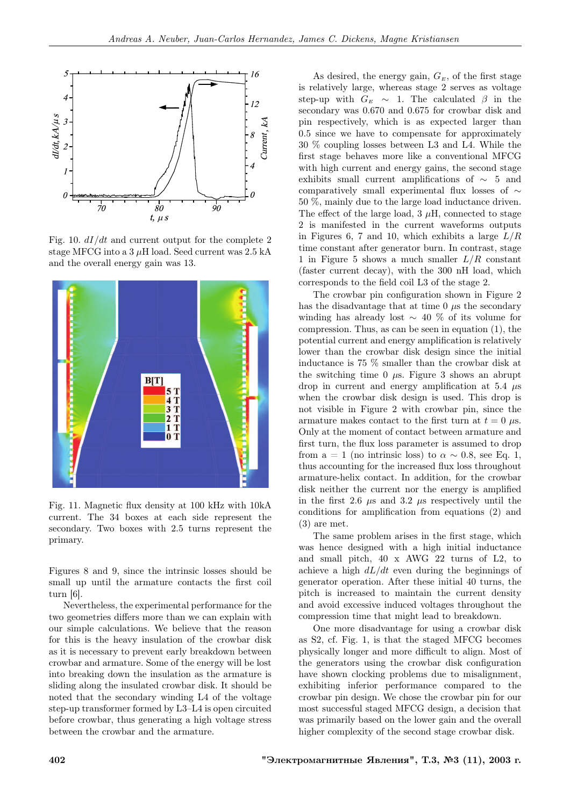

Fig. 10.  $dI/dt$  and current output for the complete 2 stage MFCG into a  $3 \mu$ H load. Seed current was  $2.5$  kA and the overall energy gain was 13.



Fig. 11. Magnetic flux density at 100 kHz with 10kA current. The 34 boxes at each side represent the secondary. Two boxes with 2.5 turns represent the primary.

Figures 8 and 9, since the intrinsic losses should be small up until the armature contacts the first coil turn [6].

Nevertheless, the experimental performance for the two geometries differs more than we can explain with our simple calculations. We believe that the reason for this is the heavy insulation of the crowbar disk as it is necessary to prevent early breakdown between crowbar and armature. Some of the energy will be lost into breaking down the insulation as the armature is sliding along the insulated crowbar disk. It should be noted that the secondary winding L4 of the voltage step-up transformer formed by L3–L4 is open circuited before crowbar, thus generating a high voltage stress between the crowbar and the armature.

As desired, the energy gain,  $G_E$ , of the first stage is relatively large, whereas stage 2 serves as voltage step-up with  $G_E \sim 1$ . The calculated  $\beta$  in the secondary was 0.670 and 0.675 for crowbar disk and pin respectively, which is as expected larger than 0.5 since we have to compensate for approximately 30 % coupling losses between L3 and L4. While the first stage behaves more like a conventional MFCG with high current and energy gains, the second stage exhibits small current amplifications of ∼ 5 and comparatively small experimental flux losses of ∼ 50 %, mainly due to the large load inductance driven. The effect of the large load,  $3 \mu$ H, connected to stage 2 is manifested in the current waveforms outputs in Figures 6, 7 and 10, which exhibits a large  $L/R$ time constant after generator burn. In contrast, stage 1 in Figure 5 shows a much smaller  $L/R$  constant (faster current decay), with the 300 nH load, which corresponds to the field coil L3 of the stage 2.

The crowbar pin configuration shown in Figure 2 has the disadvantage that at time  $\theta$   $\mu$ s the secondary winding has already lost  $\sim$  40 % of its volume for compression. Thus, as can be seen in equation (1), the potential current and energy amplification is relatively lower than the crowbar disk design since the initial inductance is 75 % smaller than the crowbar disk at the switching time 0  $\mu$ s. Figure 3 shows an abrupt drop in current and energy amplification at 5.4  $\mu$ s when the crowbar disk design is used. This drop is not visible in Figure 2 with crowbar pin, since the armature makes contact to the first turn at  $t = 0$   $\mu$ s. Only at the moment of contact between armature and first turn, the flux loss parameter is assumed to drop from a = 1 (no intrinsic loss) to  $\alpha \sim 0.8$ , see Eq. 1, thus accounting for the increased flux loss throughout armature-helix contact. In addition, for the crowbar disk neither the current nor the energy is amplified in the first 2.6  $\mu$ s and 3.2  $\mu$ s respectively until the conditions for amplification from equations (2) and (3) are met.

The same problem arises in the first stage, which was hence designed with a high initial inductance and small pitch, 40 x AWG 22 turns of L2, to achieve a high  $dL/dt$  even during the beginnings of generator operation. After these initial 40 turns, the pitch is increased to maintain the current density and avoid excessive induced voltages throughout the compression time that might lead to breakdown.

One more disadvantage for using a crowbar disk as S2, cf. Fig. 1, is that the staged MFCG becomes physically longer and more difficult to align. Most of the generators using the crowbar disk configuration have shown clocking problems due to misalignment, exhibiting inferior performance compared to the crowbar pin design. We chose the crowbar pin for our most successful staged MFCG design, a decision that was primarily based on the lower gain and the overall higher complexity of the second stage crowbar disk.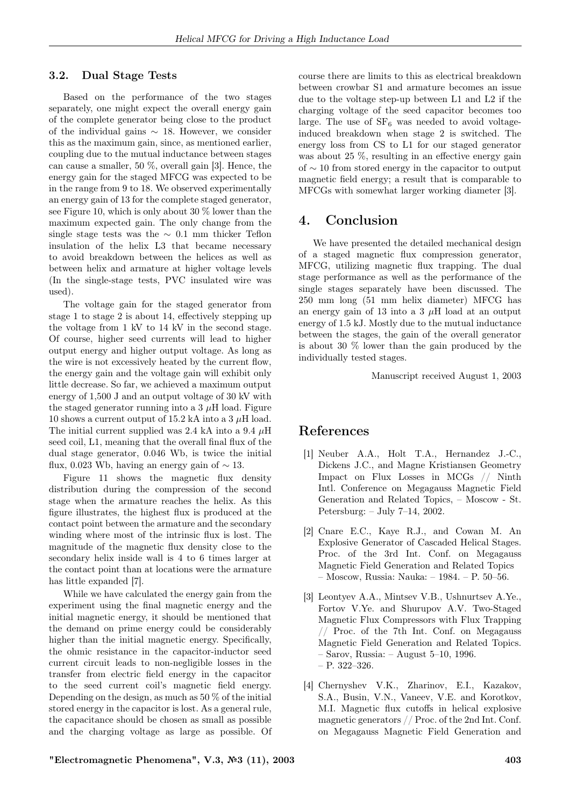#### 3.2. Dual Stage Tests

Based on the performance of the two stages separately, one might expect the overall energy gain of the complete generator being close to the product of the individual gains  $\sim$  18. However, we consider this as the maximum gain, since, as mentioned earlier, coupling due to the mutual inductance between stages can cause a smaller, 50 %, overall gain [3]. Hence, the energy gain for the staged MFCG was expected to be in the range from 9 to 18. We observed experimentally an energy gain of 13 for the complete staged generator, see Figure 10, which is only about 30 % lower than the maximum expected gain. The only change from the single stage tests was the  $\sim$  0.1 mm thicker Teflon insulation of the helix L3 that became necessary to avoid breakdown between the helices as well as between helix and armature at higher voltage levels (In the single-stage tests, PVC insulated wire was used).

The voltage gain for the staged generator from stage 1 to stage 2 is about 14, effectively stepping up the voltage from 1 kV to 14 kV in the second stage. Of course, higher seed currents will lead to higher output energy and higher output voltage. As long as the wire is not excessively heated by the current flow, the energy gain and the voltage gain will exhibit only little decrease. So far, we achieved a maximum output energy of 1,500 J and an output voltage of 30 kV with the staged generator running into a  $3 \mu$ H load. Figure 10 shows a current output of 15.2 kA into a 3  $\mu$ H load. The initial current supplied was 2.4 kA into a 9.4  $\mu$ H seed coil, L1, meaning that the overall final flux of the dual stage generator, 0.046 Wb, is twice the initial flux, 0.023 Wb, having an energy gain of  $\sim$  13.

Figure 11 shows the magnetic flux density distribution during the compression of the second stage when the armature reaches the helix. As this figure illustrates, the highest flux is produced at the contact point between the armature and the secondary winding where most of the intrinsic flux is lost. The magnitude of the magnetic flux density close to the secondary helix inside wall is 4 to 6 times larger at the contact point than at locations were the armature has little expanded [7].

While we have calculated the energy gain from the experiment using the final magnetic energy and the initial magnetic energy, it should be mentioned that the demand on prime energy could be considerably higher than the initial magnetic energy. Specifically, the ohmic resistance in the capacitor-inductor seed current circuit leads to non-negligible losses in the transfer from electric field energy in the capacitor to the seed current coil's magnetic field energy. Depending on the design, as much as  $50\%$  of the initial stored energy in the capacitor is lost. As a general rule, the capacitance should be chosen as small as possible and the charging voltage as large as possible. Of course there are limits to this as electrical breakdown between crowbar S1 and armature becomes an issue due to the voltage step-up between L1 and L2 if the charging voltage of the seed capacitor becomes too large. The use of  $SF_6$  was needed to avoid voltageinduced breakdown when stage 2 is switched. The energy loss from CS to L1 for our staged generator was about 25 %, resulting in an effective energy gain of ∼ 10 from stored energy in the capacitor to output magnetic field energy; a result that is comparable to MFCGs with somewhat larger working diameter [3].

#### 4. Conclusion

We have presented the detailed mechanical design of a staged magnetic flux compression generator, MFCG, utilizing magnetic flux trapping. The dual stage performance as well as the performance of the single stages separately have been discussed. The 250 mm long (51 mm helix diameter) MFCG has an energy gain of 13 into a  $3 \mu$ H load at an output energy of 1.5 kJ. Mostly due to the mutual inductance between the stages, the gain of the overall generator is about 30 % lower than the gain produced by the individually tested stages.

Manuscript received August 1, 2003

### References

- [1] Neuber A.A., Holt T.A., Hernandez J.-C., Dickens J.C., and Magne Kristiansen Geometry Impact on Flux Losses in MCGs // Ninth Intl. Conference on Megagauss Magnetic Field Generation and Related Topics, – Moscow - St. Petersburg: – July 7–14, 2002.
- [2] Cnare E.C., Kaye R.J., and Cowan M. An Explosive Generator of Cascaded Helical Stages. Proc. of the 3rd Int. Conf. on Megagauss Magnetic Field Generation and Related Topics – Moscow, Russia: Nauka: – 1984. – P. 50–56.
- [3] Leontyev A.A., Mintsev V.B., Ushnurtsev A.Ye., Fortov V.Ye. and Shurupov A.V. Two-Staged Magnetic Flux Compressors with Flux Trapping // Proc. of the 7th Int. Conf. on Megagauss Magnetic Field Generation and Related Topics. – Sarov, Russia: – August 5–10, 1996. – P. 322–326.
- [4] Chernyshev V.K., Zharinov, E.I., Kazakov, S.A., Busin, V.N., Vaneev, V.E. and Korotkov, M.I. Magnetic flux cutoffs in helical explosive magnetic generators // Proc. of the 2nd Int. Conf. on Megagauss Magnetic Field Generation and